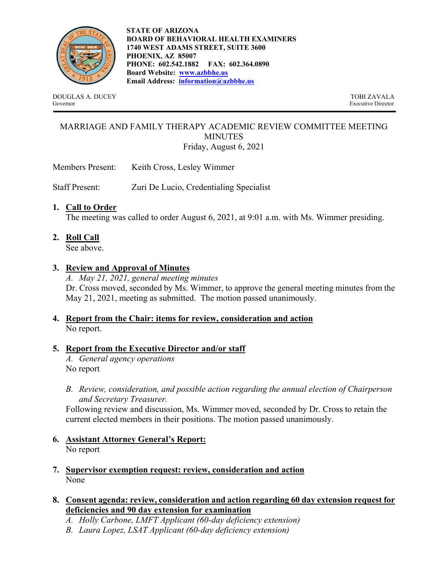

**STATE OF ARIZONA BOARD OF BEHAVIORAL HEALTH EXAMINERS 1740 WEST ADAMS STREET, SUITE 3600 PHOENIX, AZ 85007 PHONE: 602.542.1882 FAX: 602.364.0890 Board Website: www.azbbhe.us Email Address: information@azbbhe.us**

DOUGLAS A. DUCEY TOBI ZAVALA Governor Executive Director

# MARRIAGE AND FAMILY THERAPY ACADEMIC REVIEW COMMITTEE MEETING MINUTES Friday, August 6, 2021

Members Present: Keith Cross, Lesley Wimmer

Staff Present: Zuri De Lucio, Credentialing Specialist

#### **1. Call to Order**

The meeting was called to order August 6, 2021, at 9:01 a.m. with Ms. Wimmer presiding.

**2. Roll Call** 

See above.

#### **3. Review and Approval of Minutes**

*A. May 21, 2021, general meeting minutes*  Dr. Cross moved, seconded by Ms. Wimmer, to approve the general meeting minutes from the May 21, 2021, meeting as submitted. The motion passed unanimously.

# **4. Report from the Chair: items for review, consideration and action** No report.

#### **5. Report from the Executive Director and/or staff**

*A. General agency operations*  No report

*B. Review, consideration, and possible action regarding the annual election of Chairperson and Secretary Treasurer.* 

Following review and discussion, Ms. Wimmer moved, seconded by Dr. Cross to retain the current elected members in their positions. The motion passed unanimously.

- **6. Assistant Attorney General's Report:** No report
- **7. Supervisor exemption request: review, consideration and action**  None

#### **8. Consent agenda: review, consideration and action regarding 60 day extension request for deficiencies and 90 day extension for examination**

- *A. Holly Carbone, LMFT Applicant (60-day deficiency extension)*
- *B. Laura Lopez, LSAT Applicant (60-day deficiency extension)*